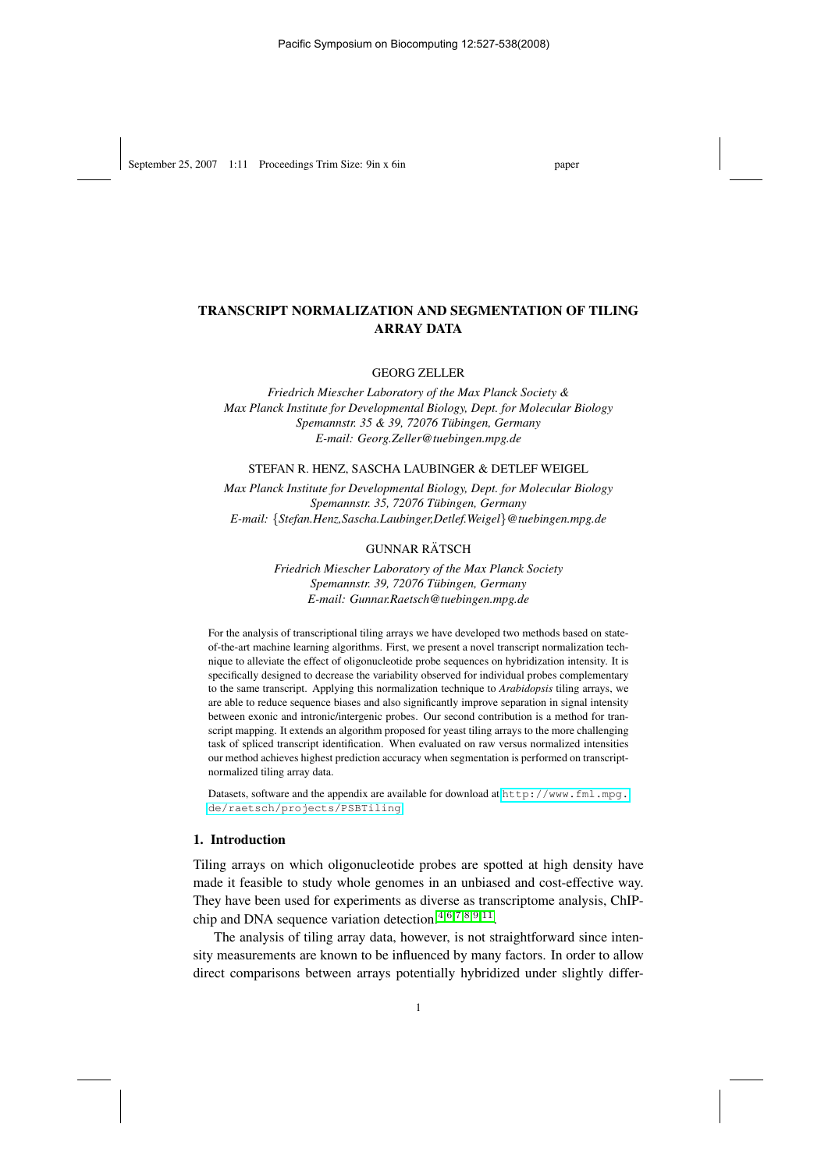## TRANSCRIPT NORMALIZATION AND SEGMENTATION OF TILING ARRAY DATA

GEORG ZELLER

*Friedrich Miescher Laboratory of the Max Planck Society & Max Planck Institute for Developmental Biology, Dept. for Molecular Biology Spemannstr. 35 & 39, 72076 Tubingen, Germany ¨ E-mail: Georg.Zeller@tuebingen.mpg.de*

#### STEFAN R. HENZ, SASCHA LAUBINGER & DETLEF WEIGEL

*Max Planck Institute for Developmental Biology, Dept. for Molecular Biology Spemannstr. 35, 72076 Tubingen, Germany ¨ E-mail:* {*Stefan.Henz,Sascha.Laubinger,Detlef.Weigel*}*@tuebingen.mpg.de*

#### GUNNAR RÄTSCH

*Friedrich Miescher Laboratory of the Max Planck Society Spemannstr. 39, 72076 Tubingen, Germany ¨ E-mail: Gunnar.Raetsch@tuebingen.mpg.de*

For the analysis of transcriptional tiling arrays we have developed two methods based on stateof-the-art machine learning algorithms. First, we present a novel transcript normalization technique to alleviate the effect of oligonucleotide probe sequences on hybridization intensity. It is specifically designed to decrease the variability observed for individual probes complementary to the same transcript. Applying this normalization technique to *Arabidopsis* tiling arrays, we are able to reduce sequence biases and also significantly improve separation in signal intensity between exonic and intronic/intergenic probes. Our second contribution is a method for transcript mapping. It extends an algorithm proposed for yeast tiling arrays to the more challenging task of spliced transcript identification. When evaluated on raw versus normalized intensities our method achieves highest prediction accuracy when segmentation is performed on transcriptnormalized tiling array data.

Datasets, software and the appendix are available for download at [http://www.fml.mpg.](http://www.fml.mpg.de/raetsch/projects/PSBTiling) [de/raetsch/projects/PSBTiling](http://www.fml.mpg.de/raetsch/projects/PSBTiling)

#### <span id="page-0-0"></span>1. Introduction

Tiling arrays on which oligonucleotide probes are spotted at high density have made it feasible to study whole genomes in an unbiased and cost-effective way. They have been used for experiments as diverse as transcriptome analysis, ChIPchip and DNA sequence variation detection.  $4,6,7,8,9,11$  $4,6,7,8,9,11$  $4,6,7,8,9,11$  $4,6,7,8,9,11$  $4,6,7,8,9,11$  $4,6,7,8,9,11$  $4,6,7,8,9,11$  $4,6,7,8,9,11$  $4,6,7,8,9,11$  $4,6,7,8,9,11$  $4,6,7,8,9,11$ .

The analysis of tiling array data, however, is not straightforward since intensity measurements are known to be influenced by many factors. In order to allow direct comparisons between arrays potentially hybridized under slightly differ-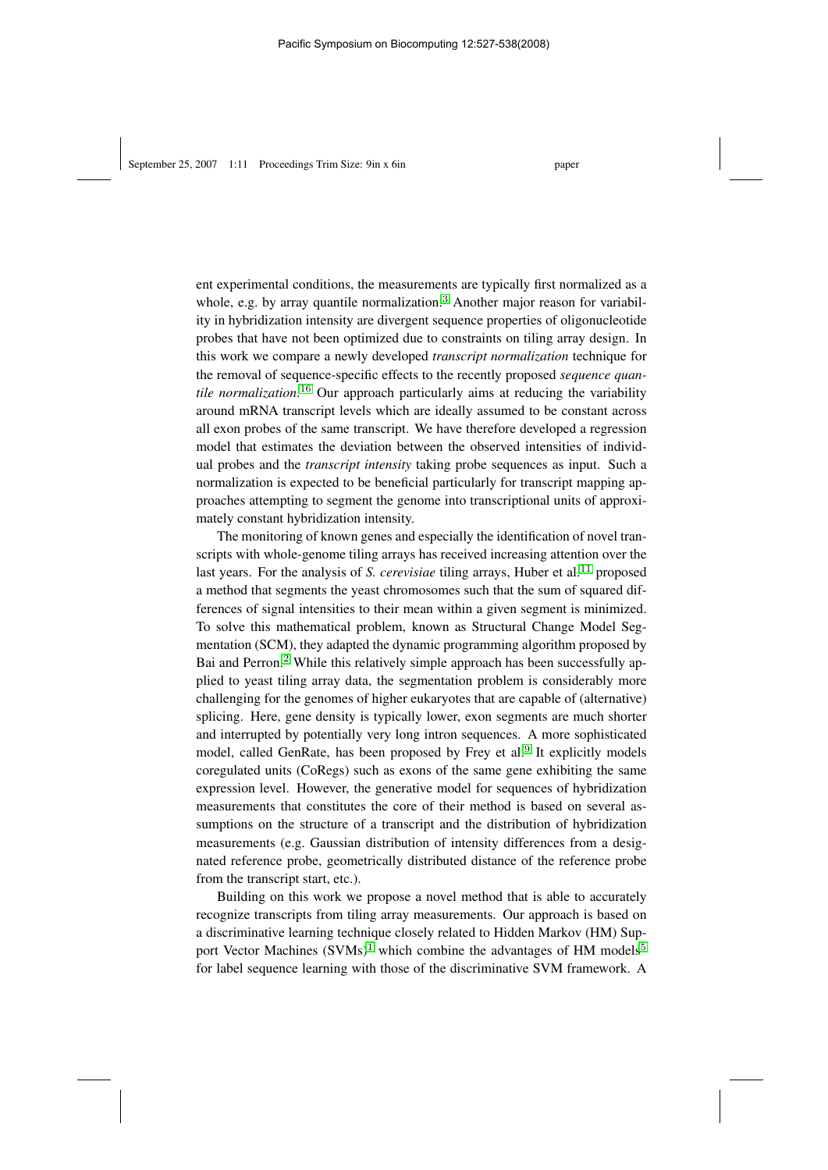ent experimental conditions, the measurements are typically first normalized as a whole, e.g. by array quantile normalization.<sup>[3](#page-10-1)</sup> Another major reason for variability in hybridization intensity are divergent sequence properties of oligonucleotide probes that have not been optimized due to constraints on tiling array design. In this work we compare a newly developed *transcript normalization* technique for the removal of sequence-specific effects to the recently proposed *sequence quantile normalization*. [16](#page-11-5) Our approach particularly aims at reducing the variability around mRNA transcript levels which are ideally assumed to be constant across all exon probes of the same transcript. We have therefore developed a regression model that estimates the deviation between the observed intensities of individual probes and the *transcript intensity* taking probe sequences as input. Such a normalization is expected to be beneficial particularly for transcript mapping approaches attempting to segment the genome into transcriptional units of approximately constant hybridization intensity.

The monitoring of known genes and especially the identification of novel transcripts with whole-genome tiling arrays has received increasing attention over the last years. For the analysis of *S. cerevisiae* tiling arrays, Huber et al.<sup>[11](#page-11-4)</sup> proposed a method that segments the yeast chromosomes such that the sum of squared differences of signal intensities to their mean within a given segment is minimized. To solve this mathematical problem, known as Structural Change Model Segmentation (SCM), they adapted the dynamic programming algorithm proposed by Bai and Perron.[2](#page-10-2) While this relatively simple approach has been successfully applied to yeast tiling array data, the segmentation problem is considerably more challenging for the genomes of higher eukaryotes that are capable of (alternative) splicing. Here, gene density is typically lower, exon segments are much shorter and interrupted by potentially very long intron sequences. A more sophisticated model, called GenRate, has been proposed by Frey et al.<sup>[9](#page-11-3)</sup> It explicitly models coregulated units (CoRegs) such as exons of the same gene exhibiting the same expression level. However, the generative model for sequences of hybridization measurements that constitutes the core of their method is based on several assumptions on the structure of a transcript and the distribution of hybridization measurements (e.g. Gaussian distribution of intensity differences from a designated reference probe, geometrically distributed distance of the reference probe from the transcript start, etc.).

Building on this work we propose a novel method that is able to accurately recognize transcripts from tiling array measurements. Our approach is based on a discriminative learning technique closely related to Hidden Markov (HM) Support Vector Machines  $(SVMs)^1$  $(SVMs)^1$  which combine the advantages of HM models<sup>[5](#page-10-4)</sup> for label sequence learning with those of the discriminative SVM framework. A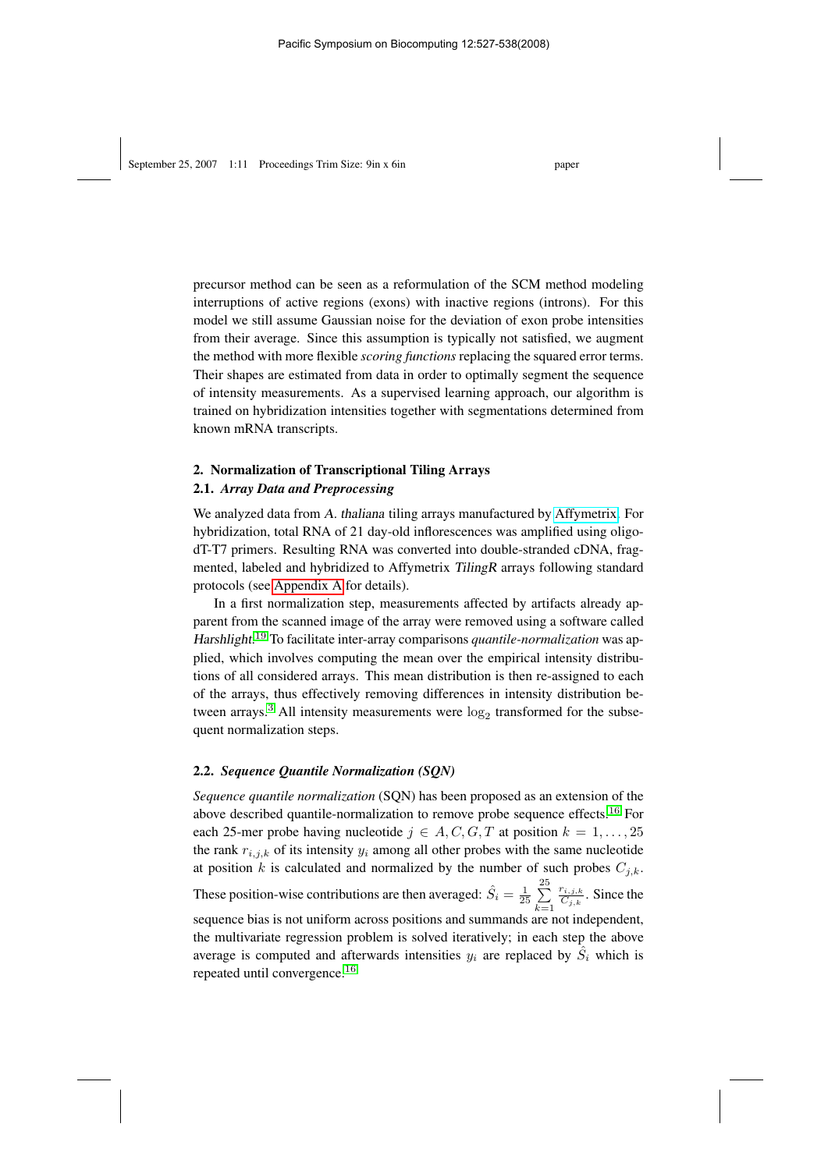precursor method can be seen as a reformulation of the SCM method modeling interruptions of active regions (exons) with inactive regions (introns). For this model we still assume Gaussian noise for the deviation of exon probe intensities from their average. Since this assumption is typically not satisfied, we augment the method with more flexible *scoring functions* replacing the squared error terms. Their shapes are estimated from data in order to optimally segment the sequence of intensity measurements. As a supervised learning approach, our algorithm is trained on hybridization intensities together with segmentations determined from known mRNA transcripts.

# <span id="page-2-0"></span>2. Normalization of Transcriptional Tiling Arrays

#### 2.1. *Array Data and Preprocessing*

We analyzed data from A. thaliana tiling arrays manufactured by [Affymetrix.](http://www.affymetrix.com) For hybridization, total RNA of 21 day-old inflorescences was amplified using oligodT-T7 primers. Resulting RNA was converted into double-stranded cDNA, fragmented, labeled and hybridized to Affymetrix TilingR arrays following standard protocols (see [Appendix A](#page--1-0) for details).

In a first normalization step, measurements affected by artifacts already apparent from the scanned image of the array were removed using a software called Harshlight. [19](#page-11-6) To facilitate inter-array comparisons *quantile-normalization* was applied, which involves computing the mean over the empirical intensity distributions of all considered arrays. This mean distribution is then re-assigned to each of the arrays, thus effectively removing differences in intensity distribution be-tween arrays.<sup>[3](#page-10-1)</sup> All intensity measurements were  $log_2$  transformed for the subsequent normalization steps.

### 2.2. *Sequence Quantile Normalization (SQN)*

*Sequence quantile normalization* (SQN) has been proposed as an extension of the above described quantile-normalization to remove probe sequence effects.<sup>[16](#page-11-5)</sup> For each 25-mer probe having nucleotide  $j \in A, C, G, T$  at position  $k = 1, \ldots, 25$ the rank  $r_{i,j,k}$  of its intensity  $y_i$  among all other probes with the same nucleotide at position k is calculated and normalized by the number of such probes  $C_{i,k}$ . These position-wise contributions are then averaged:  $\hat{S}_i = \frac{1}{25} \sum_{i=1}^{25}$  $k=1$  $r_{i,j,k}$  $\frac{r_{i,j,k}}{C_{j,k}}$ . Since the sequence bias is not uniform across positions and summands are not independent, the multivariate regression problem is solved iteratively; in each step the above average is computed and afterwards intensities  $y_i$  are replaced by  $\hat{S}_i$  which is repeated until convergence.[16](#page-11-5)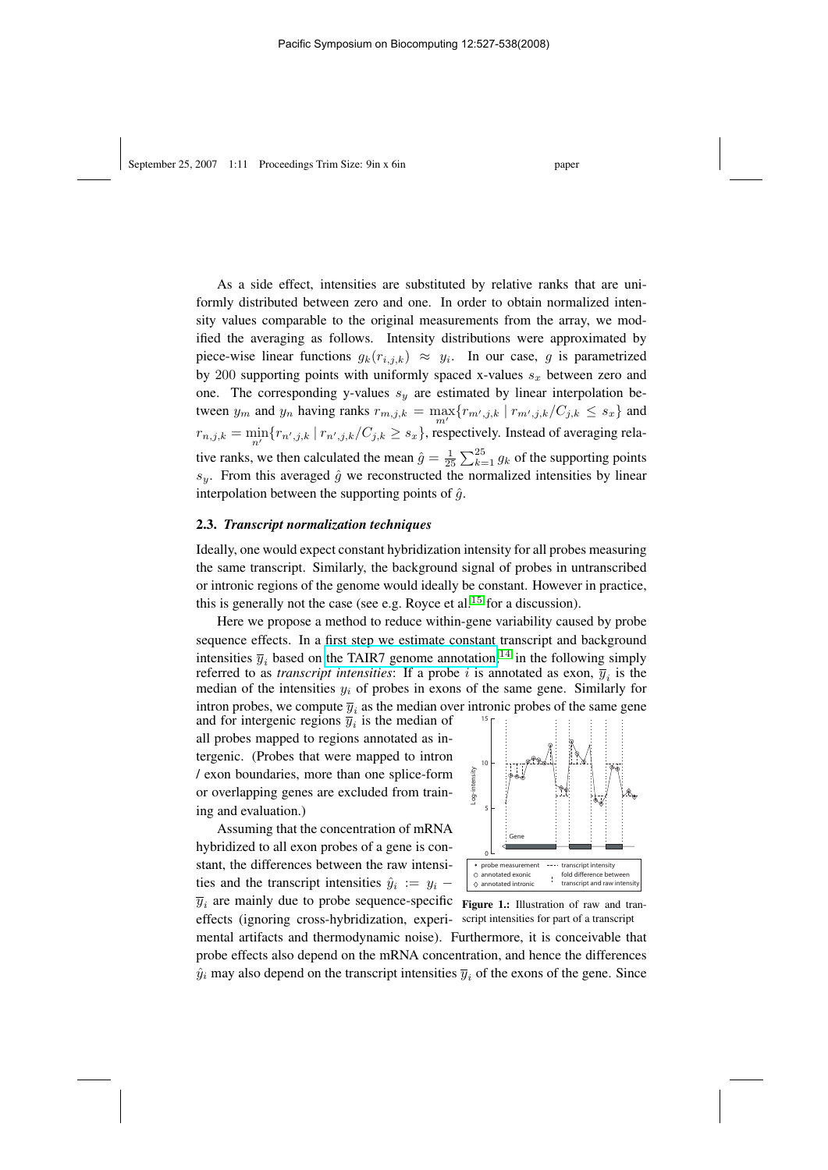As a side effect, intensities are substituted by relative ranks that are uniformly distributed between zero and one. In order to obtain normalized intensity values comparable to the original measurements from the array, we modified the averaging as follows. Intensity distributions were approximated by piece-wise linear functions  $g_k(r_{i,j,k}) \approx y_i$ . In our case, g is parametrized by 200 supporting points with uniformly spaced x-values  $s_x$  between zero and one. The corresponding y-values  $s_y$  are estimated by linear interpolation between  $y_m$  and  $y_n$  having ranks  $r_{m,j,k} = \max_{m'} \{r_{m',j,k} | r_{m',j,k}/C_{j,k} \leq s_x \}$  and  $r_{n,j,k} = \min_{n'} \{r_{n',j,k} | r_{n',j,k}/C_{j,k} \ge s_x\}$ , respectively. Instead of averaging relative ranks, we then calculated the mean  $\hat{g} = \frac{1}{25} \sum_{k=1}^{25} g_k$  of the supporting points  $s_y$ . From this averaged  $\hat{g}$  we reconstructed the normalized intensities by linear interpolation between the supporting points of  $\hat{g}$ .

#### 2.3. *Transcript normalization techniques*

Ideally, one would expect constant hybridization intensity for all probes measuring the same transcript. Similarly, the background signal of probes in untranscribed or intronic regions of the genome would ideally be constant. However in practice, this is generally not the case (see e.g. Royce et al.<sup>[15](#page-11-7)</sup> for a discussion).

Here we propose a method to reduce within-gene variability caused by probe sequence effects. In a first step we estimate constant transcript and background intensities  $\overline{y}_i$  based on [the TAIR7 genome annotation,](http://www.arabidopsis.org/)<sup>[14](#page-11-8)</sup> in the following simply referred to as *transcript intensities*: If a probe i is annotated as exon,  $\overline{y}_i$  is the median of the intensities  $y_i$  of probes in exons of the same gene. Similarly for intron probes, we compute  $\overline{y}_i$  as the median over intronic probes of the same gene

and for intergenic regions  $\overline{y}_i$  is the median of all probes mapped to regions annotated as intergenic. (Probes that were mapped to intron / exon boundaries, more than one splice-form or overlapping genes are excluded from training and evaluation.)

Assuming that the concentration of mRNA hybridized to all exon probes of a gene is constant, the differences between the raw intensities and the transcript intensities  $\hat{y}_i := y_i \overline{y}_i$  are mainly due to probe sequence-specific Figure 1.: Illustration of raw and traneffects (ignoring cross-hybridization, experi-script intensities for part of a transcript



mental artifacts and thermodynamic noise). Furthermore, it is conceivable that probe effects also depend on the mRNA concentration, and hence the differences  $\hat{y}_i$  may also depend on the transcript intensities  $\overline{y}_i$  of the exons of the gene. Since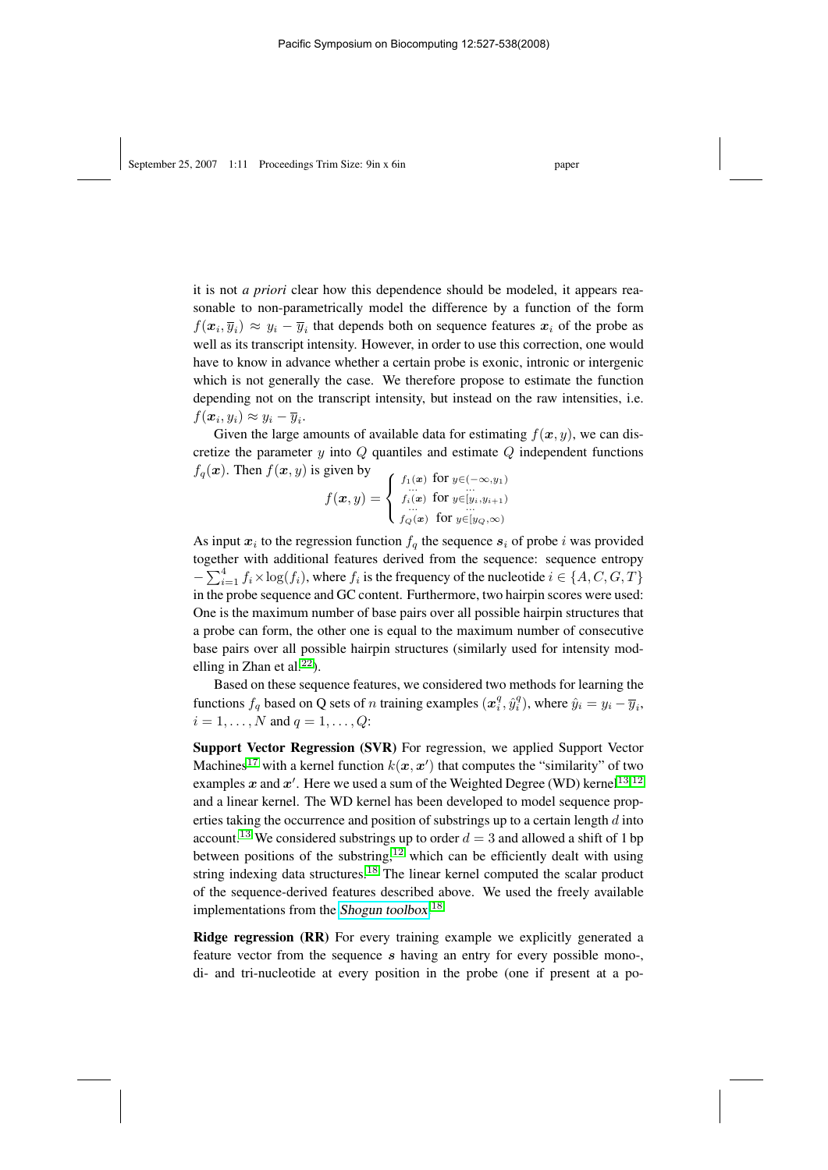it is not *a priori* clear how this dependence should be modeled, it appears reasonable to non-parametrically model the difference by a function of the form  $f(\boldsymbol{x}_i, \overline{y}_i) \approx y_i - \overline{y}_i$  that depends both on sequence features  $\boldsymbol{x}_i$  of the probe as well as its transcript intensity. However, in order to use this correction, one would have to know in advance whether a certain probe is exonic, intronic or intergenic which is not generally the case. We therefore propose to estimate the function depending not on the transcript intensity, but instead on the raw intensities, i.e.  $f(\boldsymbol{x}_i, y_i) \approx y_i - \overline{y}_i.$ 

Given the large amounts of available data for estimating  $f(x, y)$ , we can discretize the parameter  $y$  into  $Q$  quantiles and estimate  $Q$  independent functions  $f_a(\mathbf{x})$ . Then  $f(\mathbf{x}, y)$  is given by

 $f(\boldsymbol{x}, y) =$  $\sqrt{ }$  $\left| \right|$  $\mathcal{L}$  $f_1(x)$  for  $y \in (-\infty, y_1)$ <br>
... ...<br>  $f_i(x)$  for  $y \in [y_i, y_{i+1})$ <br>
... ...<br>  $f_Q(x)$  for  $y \in [y_Q, \infty)$ 

As input  $x_i$  to the regression function  $f_q$  the sequence  $s_i$  of probe i was provided together with additional features derived from the sequence: sequence entropy  $-\sum_{i=1}^4 f_i \times \log(f_i)$ , where  $f_i$  is the frequency of the nucleotide  $i \in \{A, C, G, T\}$ in the probe sequence and GC content. Furthermore, two hairpin scores were used: One is the maximum number of base pairs over all possible hairpin structures that a probe can form, the other one is equal to the maximum number of consecutive base pairs over all possible hairpin structures (similarly used for intensity modelling in Zhan et al. $^{22}$  $^{22}$  $^{22}$ ).

Based on these sequence features, we considered two methods for learning the functions  $f_q$  based on Q sets of n training examples  $(\mathbf{x}_i^q, \hat{y}_i^q)$ , where  $\hat{y}_i = y_i - \overline{y}_i$ ,  $i = 1, ..., N$  and  $q = 1, ..., Q$ :

Support Vector Regression (SVR) For regression, we applied Support Vector Machines<sup>[17](#page-11-10)</sup> with a kernel function  $k(x, x')$  that computes the "similarity" of two examples  $x$  and  $x'$ . Here we used a sum of the Weighted Degree (WD) kernel<sup>[13](#page-11-11),[12](#page-11-12)</sup> and a linear kernel. The WD kernel has been developed to model sequence properties taking the occurrence and position of substrings up to a certain length d into account.<sup>[13](#page-11-11)</sup> We considered substrings up to order  $d = 3$  and allowed a shift of 1 bp between positions of the substring,  $12$  which can be efficiently dealt with using string indexing data structures.<sup>[18](#page-11-13)</sup> The linear kernel computed the scalar product of the sequence-derived features described above. We used the freely available implementations from the [Shogun toolbox](http://www.shogun-toolbox.org).<sup>[18](#page-11-13)</sup>

Ridge regression (RR) For every training example we explicitly generated a feature vector from the sequence s having an entry for every possible mono-, di- and tri-nucleotide at every position in the probe (one if present at a po-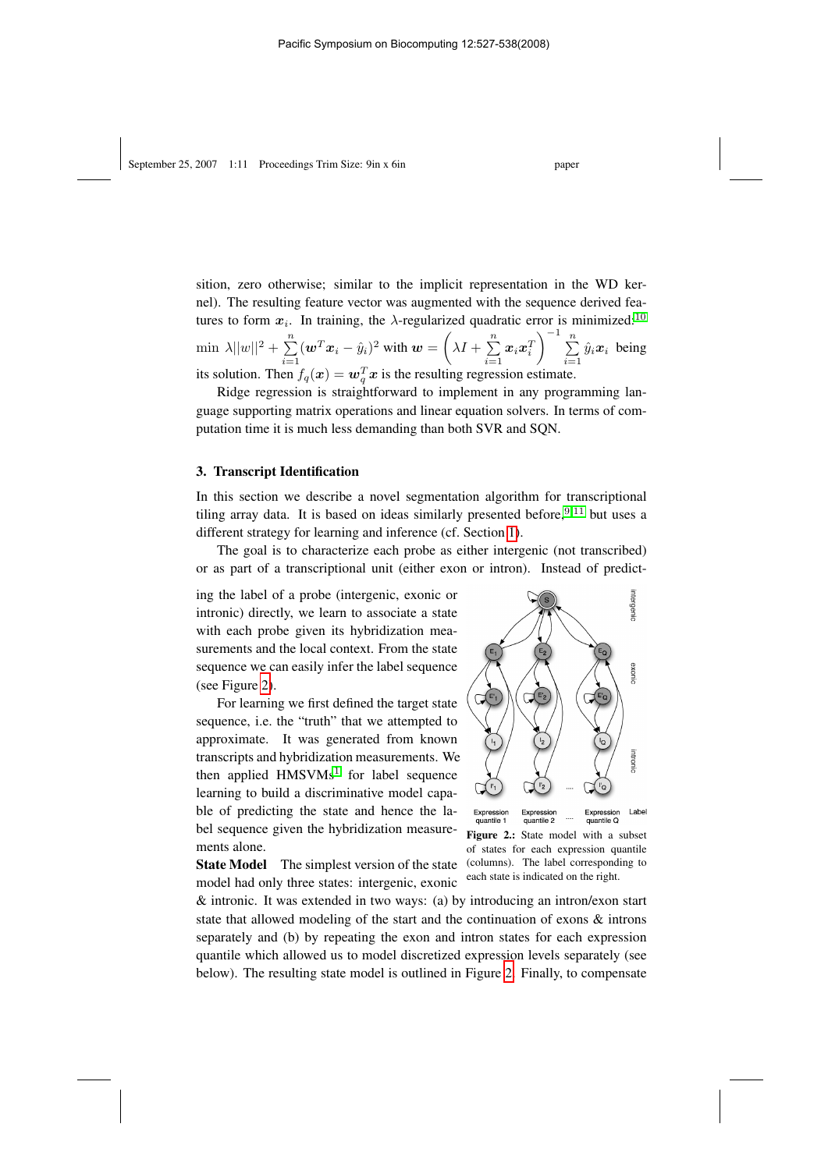sition, zero otherwise; similar to the implicit representation in the WD kernel). The resulting feature vector was augmented with the sequence derived features to form  $x_i$ . In training, the  $\lambda$ -regularized quadratic error is minimized:<sup>[10](#page-11-14)</sup>

min  $\lambda ||w||^2 + \sum_{n=1}^{\infty}$  $\sum_{i=1}^n (\boldsymbol{w}^T\boldsymbol{x}_i - \hat{y}_i)^2$  with  $\boldsymbol{w} = \left(\lambda I + \sum_{i=1}^n \right)$  $\sum\limits_{i=1} \bm{x}_i \bm{x}_i^T$  $\bigcap$ <sup>-1</sup> $\sum$ <sup>n</sup>  $\sum_{i=1} \hat{y}_i \mathbf{x}_i$  being its solution. Then  $f_q(x) = \boldsymbol{w}_q^T \boldsymbol{x}$  is the resulting regression estimate.

Ridge regression is straightforward to implement in any programming language supporting matrix operations and linear equation solvers. In terms of computation time it is much less demanding than both SVR and SQN.

#### <span id="page-5-0"></span>3. Transcript Identification

In this section we describe a novel segmentation algorithm for transcriptional tiling array data. It is based on ideas similarly presented before,  $9,11$  $9,11$  $9,11$  but uses a different strategy for learning and inference (cf. Section [1\)](#page-0-0).

The goal is to characterize each probe as either intergenic (not transcribed) or as part of a transcriptional unit (either exon or intron). Instead of predict-

ing the label of a probe (intergenic, exonic or intronic) directly, we learn to associate a state with each probe given its hybridization measurements and the local context. From the state sequence we can easily infer the label sequence (see Figure [2\)](#page-5-0).

For learning we first defined the target state sequence, i.e. the "truth" that we attempted to approximate. It was generated from known transcripts and hybridization measurements. We then applied HMSVMs<sup>[1](#page-10-3)</sup> for label sequence learning to build a discriminative model capable of predicting the state and hence the label sequence given the hybridization measurements alone.

intergenic Expression<br>quantile 1 Label Expression Expression<br>Quantile Q quantile 2

Figure 2.: State model with a subset of states for each expression quantile (columns). The label corresponding to each state is indicated on the right.

State Model The simplest version of the state model had only three states: intergenic, exonic

& intronic. It was extended in two ways: (a) by introducing an intron/exon start state that allowed modeling of the start and the continuation of exons & introns separately and (b) by repeating the exon and intron states for each expression quantile which allowed us to model discretized expression levels separately (see below). The resulting state model is outlined in Figure [2.](#page-5-0) Finally, to compensate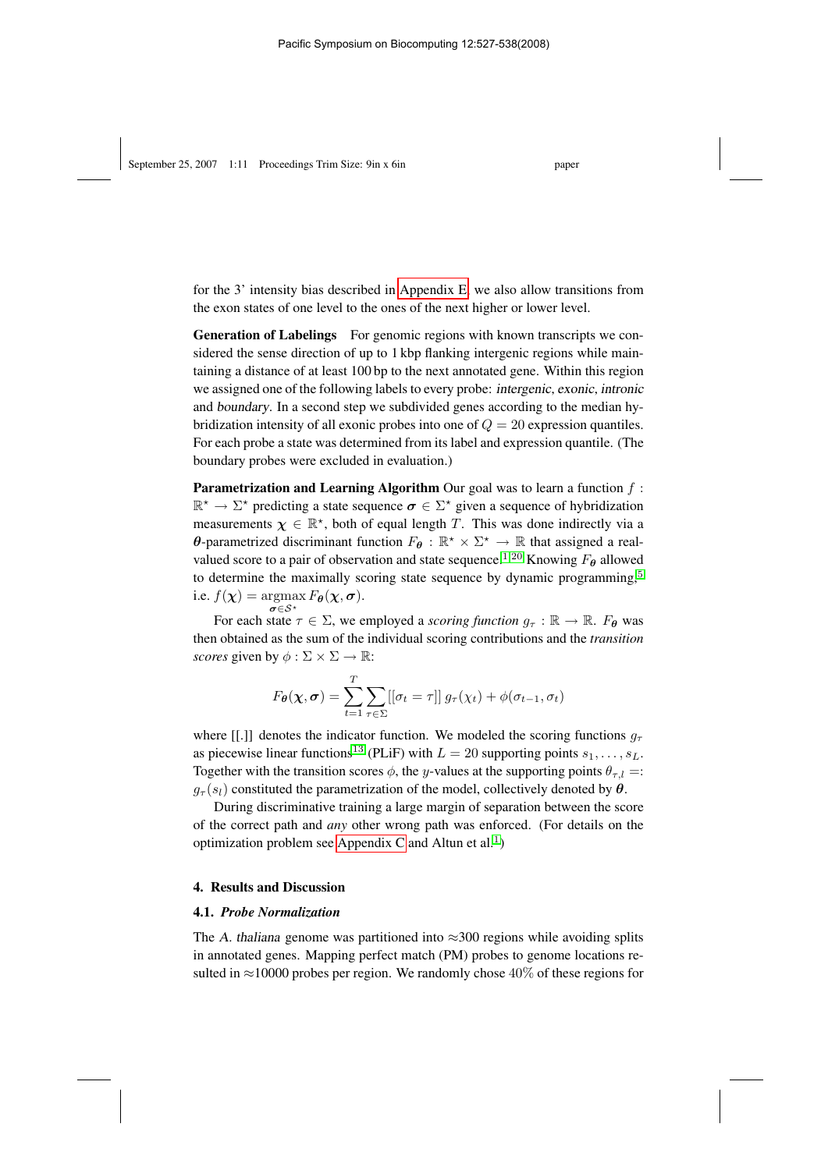for the 3' intensity bias described in [Appendix E,](#page--1-1) we also allow transitions from the exon states of one level to the ones of the next higher or lower level.

Generation of Labelings For genomic regions with known transcripts we considered the sense direction of up to 1 kbp flanking intergenic regions while maintaining a distance of at least 100 bp to the next annotated gene. Within this region we assigned one of the following labels to every probe: intergenic, exonic, intronic and boundary. In a second step we subdivided genes according to the median hybridization intensity of all exonic probes into one of  $Q = 20$  expression quantiles. For each probe a state was determined from its label and expression quantile. (The boundary probes were excluded in evaluation.)

**Parametrization and Learning Algorithm** Our goal was to learn a function  $f$ :  $\mathbb{R}^* \to \Sigma^*$  predicting a state sequence  $\sigma \in \Sigma^*$  given a sequence of hybridization measurements  $\chi \in \mathbb{R}^*$ , both of equal length T. This was done indirectly via a  $\theta$ -parametrized discriminant function  $F_{\theta}: \mathbb{R}^* \times \Sigma^* \to \mathbb{R}$  that assigned a real-valued score to a pair of observation and state sequence.<sup>[1](#page-10-3),[20](#page-11-15)</sup> Knowing  $F_{\theta}$  allowed to determine the maximally scoring state sequence by dynamic programming, $5$ i.e.  $f(\boldsymbol{\chi}) = \arg \max F_{\boldsymbol{\theta}}(\boldsymbol{\chi}, \boldsymbol{\sigma}).$  $\sigma \in S^*$ 

For each state  $\tau \in \Sigma$ , we employed a *scoring function*  $g_{\tau} : \mathbb{R} \to \mathbb{R}$ .  $F_{\theta}$  was then obtained as the sum of the individual scoring contributions and the *transition scores* given by  $\phi : \Sigma \times \Sigma \to \mathbb{R}$ :

$$
F_{\theta}(\boldsymbol{\chi}, \boldsymbol{\sigma}) = \sum_{t=1}^{T} \sum_{\tau \in \Sigma} [[\sigma_t = \tau]] \, g_{\tau}(\chi_t) + \phi(\sigma_{t-1}, \sigma_t)
$$

where [[.]] denotes the indicator function. We modeled the scoring functions  $q_{\tau}$ as piecewise linear functions<sup>[13](#page-11-11)</sup> (PLiF) with  $L = 20$  supporting points  $s_1, \ldots, s_L$ . Together with the transition scores  $\phi$ , the y-values at the supporting points  $\theta_{\tau l} =$ :  $g_{\tau}(s_l)$  constituted the parametrization of the model, collectively denoted by  $\theta$ .

During discriminative training a large margin of separation between the score of the correct path and *any* other wrong path was enforced. (For details on the optimization problem see [Appendix C](#page--1-2) and Altun et al.<sup>[1](#page-10-3)</sup>)

#### 4. Results and Discussion

#### 4.1. *Probe Normalization*

The A. thaliana genome was partitioned into  $\approx$ 300 regions while avoiding splits in annotated genes. Mapping perfect match (PM) probes to genome locations resulted in  $\approx$ 10000 probes per region. We randomly chose 40% of these regions for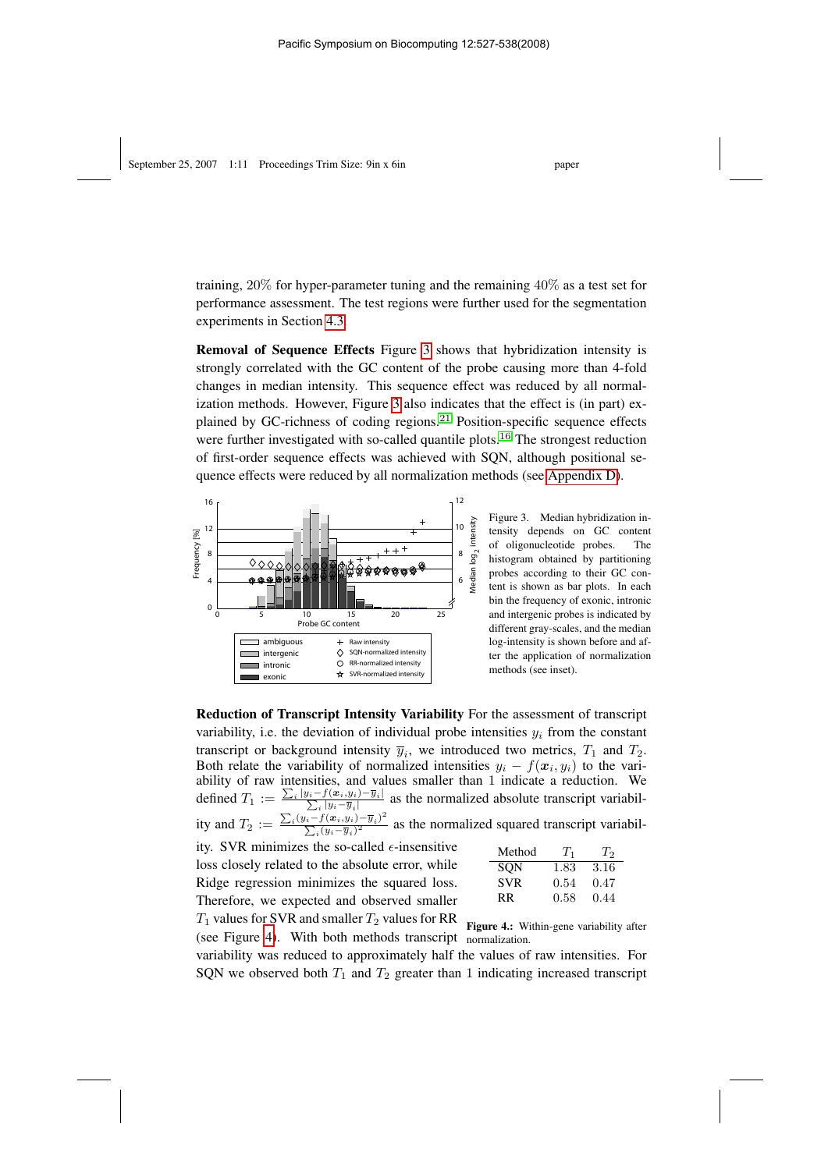training,  $20\%$  for hyper-parameter tuning and the remaining  $40\%$  as a test set for performance assessment. The test regions were further used for the segmentation experiments in Section [4.3.](#page-9-0)

Removal of Sequence Effects Figure [3](#page-7-0) shows that hybridization intensity is strongly correlated with the GC content of the probe causing more than 4-fold changes in median intensity. This sequence effect was reduced by all normalization methods. However, Figure [3](#page-7-0) also indicates that the effect is (in part) explained by GC-richness of coding regions.[21](#page-11-16) Position-specific sequence effects were further investigated with so-called quantile plots.<sup>[16](#page-11-5)</sup> The strongest reduction of first-order sequence effects was achieved with SQN, although positional sequence effects were reduced by all normalization methods (see [Appendix D\)](#page--1-3).



<span id="page-7-0"></span>Figure 3. Median hybridization intensity depends on GC content of oligonucleotide probes. The histogram obtained by partitioning probes according to their GC content is shown as bar plots. In each bin the frequency of exonic, intronic and intergenic probes is indicated by different gray-scales, and the median log-intensity is shown before and after the application of normalization methods (see inset).

Reduction of Transcript Intensity Variability For the assessment of transcript variability, i.e. the deviation of individual probe intensities  $y_i$  from the constant transcript or background intensity  $\overline{y}_i$ , we introduced two metrics,  $T_1$  and  $T_2$ . Both relate the variability of normalized intensities  $y_i - f(x_i, y_i)$  to the variability of raw intensities, and values smaller than 1 indicate a reduction. We defined  $T_1 := \frac{\sum_i |y_i - f(x_i, y_i) - \overline{y}_i|}{\sum_i |y_i - \overline{y}_i|}$  as the normalized absolute transcript variabil- $\sum_i |y_i-\overline{y}_i|$ ity and  $T_2 := \frac{\sum_i (y_i - f(\boldsymbol{x}_i, y_i) - \overline{y}_i)^2}{\sum_i (y_i - \overline{y}_i)^2}$  $\frac{\sum_i (y_i - \overline{y}_i)^2}{\sum_i (y_i - \overline{y}_i)^2}$  as the normalized squared transcript variabil-

ity. SVR minimizes the so-called  $\epsilon$ -insensitive loss closely related to the absolute error, while Ridge regression minimizes the squared loss. Therefore, we expected and observed smaller  $T_1$  values for SVR and smaller  $T_2$  values for RR

| Method     | T1   | Т2   |
|------------|------|------|
| SON        | 1.83 | 3.16 |
| <b>SVR</b> | 0.54 | 0.47 |
| RR.        | 0.58 | 0.44 |

(see Figure [4\)](#page-7-0). With both methods transcript normalization. Figure 4.: Within-gene variability after

variability was reduced to approximately half the values of raw intensities. For SQN we observed both  $T_1$  and  $T_2$  greater than 1 indicating increased transcript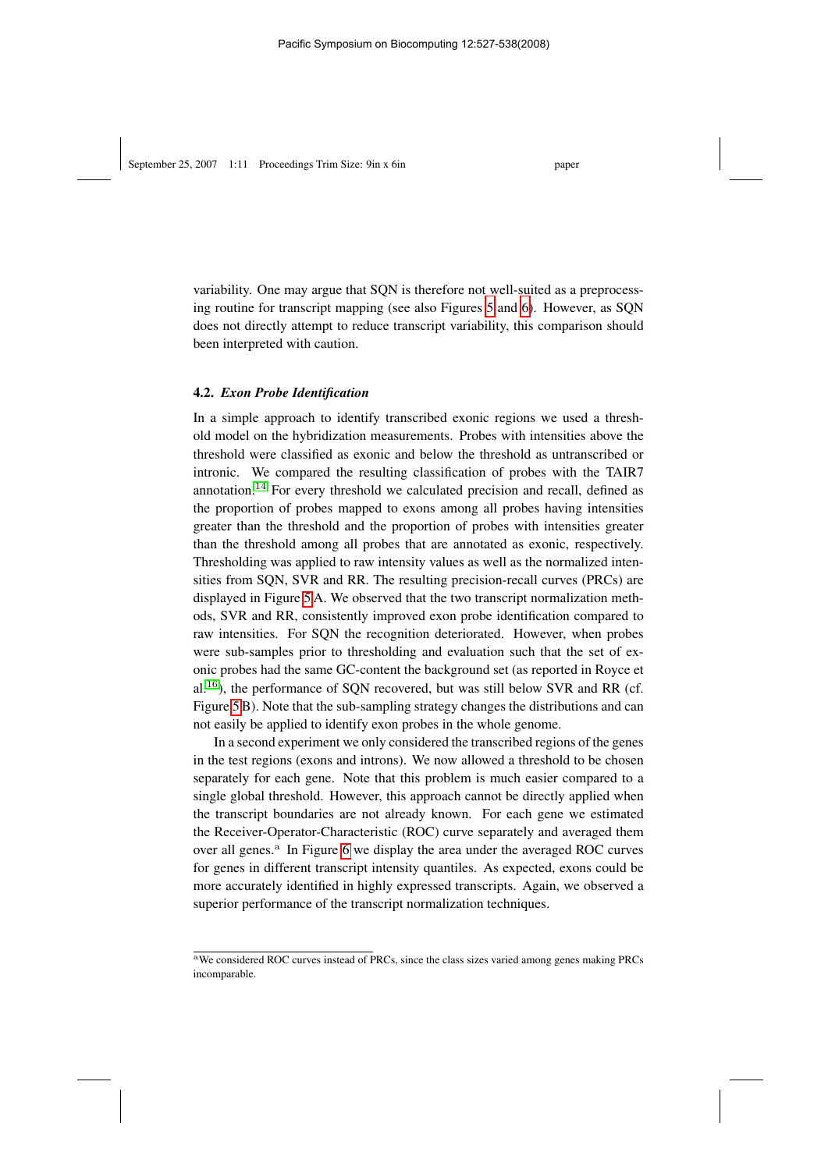variability. One may argue that SQN is therefore not well-suited as a preprocessing routine for transcript mapping (see also Figures [5](#page-9-1) and [6\)](#page-9-2). However, as SQN does not directly attempt to reduce transcript variability, this comparison should been interpreted with caution.

#### 4.2. *Exon Probe Identification*

In a simple approach to identify transcribed exonic regions we used a threshold model on the hybridization measurements. Probes with intensities above the threshold were classified as exonic and below the threshold as untranscribed or intronic. We compared the resulting classification of probes with the TAIR7 annotation.[14](#page-11-8) For every threshold we calculated precision and recall, defined as the proportion of probes mapped to exons among all probes having intensities greater than the threshold and the proportion of probes with intensities greater than the threshold among all probes that are annotated as exonic, respectively. Thresholding was applied to raw intensity values as well as the normalized intensities from SQN, SVR and RR. The resulting precision-recall curves (PRCs) are displayed in Figure [5](#page-9-1) A. We observed that the two transcript normalization methods, SVR and RR, consistently improved exon probe identification compared to raw intensities. For SQN the recognition deteriorated. However, when probes were sub-samples prior to thresholding and evaluation such that the set of exonic probes had the same GC-content the background set (as reported in Royce et al.<sup>[16](#page-11-5)</sup>), the performance of SQN recovered, but was still below SVR and RR (cf. Figure [5](#page-9-1) B). Note that the sub-sampling strategy changes the distributions and can not easily be applied to identify exon probes in the whole genome.

In a second experiment we only considered the transcribed regions of the genes in the test regions (exons and introns). We now allowed a threshold to be chosen separately for each gene. Note that this problem is much easier compared to a single global threshold. However, this approach cannot be directly applied when the transcript boundaries are not already known. For each gene we estimated the Receiver-Operator-Characteristic (ROC) curve separately and averaged them over all genes.<sup>a</sup> In Figure [6](#page-9-2) we display the area under the averaged ROC curves for genes in different transcript intensity quantiles. As expected, exons could be more accurately identified in highly expressed transcripts. Again, we observed a superior performance of the transcript normalization techniques.

<sup>a</sup>We considered ROC curves instead of PRCs, since the class sizes varied among genes making PRCs incomparable.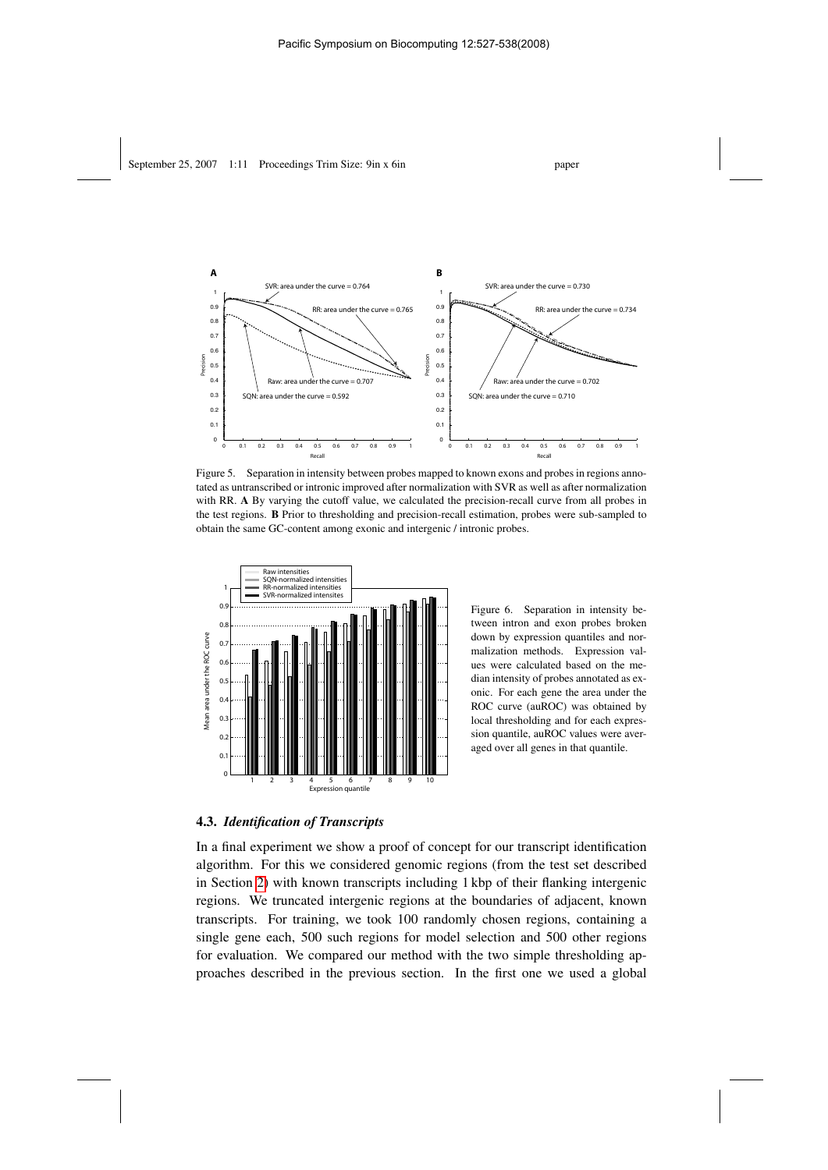



<span id="page-9-1"></span>Figure 5. Separation in intensity between probes mapped to known exons and probes in regions annotated as untranscribed or intronic improved after normalization with SVR as well as after normalization with RR. A By varying the cutoff value, we calculated the precision-recall curve from all probes in the test regions. B Prior to thresholding and precision-recall estimation, probes were sub-sampled to obtain the same GC-content among exonic and intergenic / intronic probes.



<span id="page-9-2"></span>Figure 6. Separation in intensity between intron and exon probes broken down by expression quantiles and normalization methods. Expression values were calculated based on the median intensity of probes annotated as exonic. For each gene the area under the ROC curve (auROC) was obtained by local thresholding and for each expression quantile, auROC values were averaged over all genes in that quantile.

#### <span id="page-9-0"></span>4.3. *Identification of Transcripts*

In a final experiment we show a proof of concept for our transcript identification algorithm. For this we considered genomic regions (from the test set described in Section [2\)](#page-2-0) with known transcripts including 1 kbp of their flanking intergenic regions. We truncated intergenic regions at the boundaries of adjacent, known transcripts. For training, we took 100 randomly chosen regions, containing a single gene each, 500 such regions for model selection and 500 other regions for evaluation. We compared our method with the two simple thresholding approaches described in the previous section. In the first one we used a global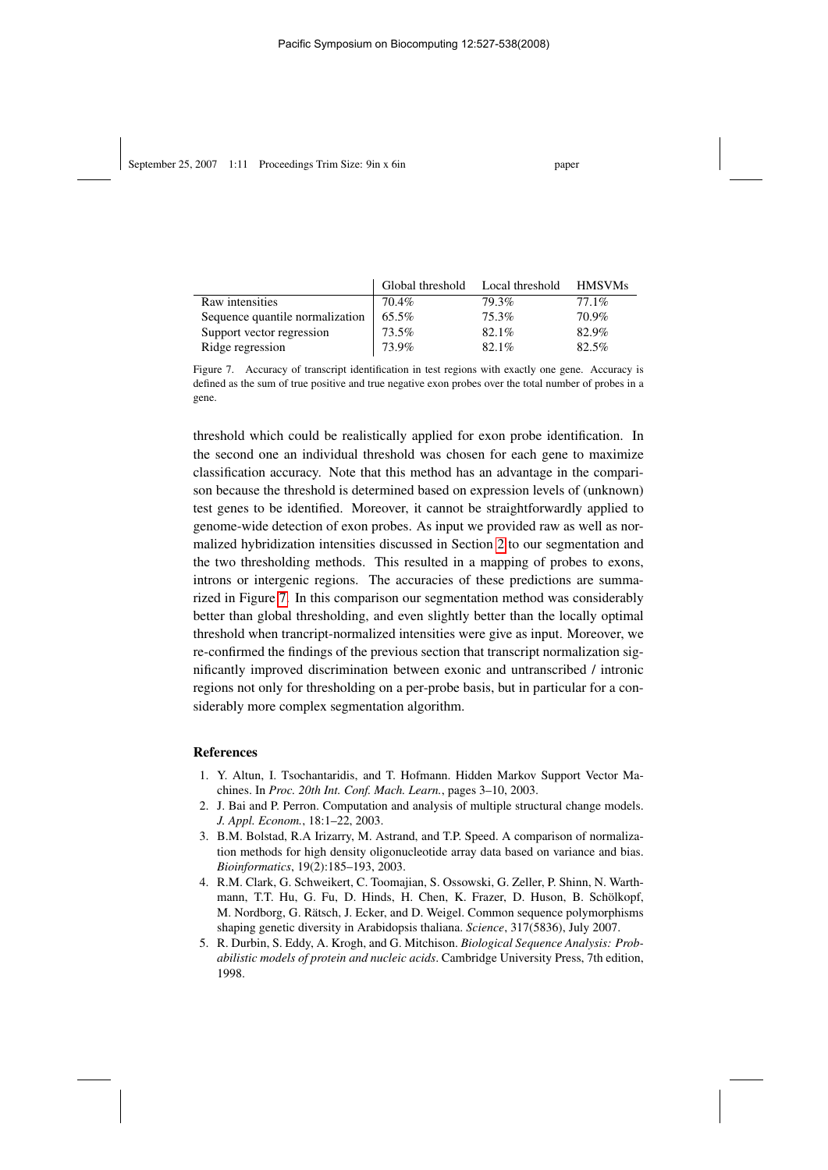| .,<br>$\sim$ |
|--------------|
|--------------|

|                                 | Global threshold | Local threshold | <b>HMSVMs</b> |
|---------------------------------|------------------|-----------------|---------------|
| Raw intensities                 | 70.4%            | 79.3%           | $77.1\%$      |
| Sequence quantile normalization | 65.5%            | 75.3%           | 70.9%         |
| Support vector regression       | 73.5%            | 82.1%           | 82.9%         |
| Ridge regression                | 73.9%            | $82.1\%$        | 82.5%         |

<span id="page-10-5"></span>Figure 7. Accuracy of transcript identification in test regions with exactly one gene. Accuracy is defined as the sum of true positive and true negative exon probes over the total number of probes in a gene.

threshold which could be realistically applied for exon probe identification. In the second one an individual threshold was chosen for each gene to maximize classification accuracy. Note that this method has an advantage in the comparison because the threshold is determined based on expression levels of (unknown) test genes to be identified. Moreover, it cannot be straightforwardly applied to genome-wide detection of exon probes. As input we provided raw as well as normalized hybridization intensities discussed in Section [2](#page-2-0) to our segmentation and the two thresholding methods. This resulted in a mapping of probes to exons, introns or intergenic regions. The accuracies of these predictions are summarized in Figure [7.](#page-10-5) In this comparison our segmentation method was considerably better than global thresholding, and even slightly better than the locally optimal threshold when trancript-normalized intensities were give as input. Moreover, we re-confirmed the findings of the previous section that transcript normalization significantly improved discrimination between exonic and untranscribed / intronic regions not only for thresholding on a per-probe basis, but in particular for a considerably more complex segmentation algorithm.

#### References

- <span id="page-10-3"></span>1. Y. Altun, I. Tsochantaridis, and T. Hofmann. Hidden Markov Support Vector Machines. In *Proc. 20th Int. Conf. Mach. Learn.*, pages 3–10, 2003.
- <span id="page-10-2"></span>2. J. Bai and P. Perron. Computation and analysis of multiple structural change models. *J. Appl. Econom.*, 18:1–22, 2003.
- <span id="page-10-1"></span>3. B.M. Bolstad, R.A Irizarry, M. Astrand, and T.P. Speed. A comparison of normalization methods for high density oligonucleotide array data based on variance and bias. *Bioinformatics*, 19(2):185–193, 2003.
- <span id="page-10-0"></span>4. R.M. Clark, G. Schweikert, C. Toomajian, S. Ossowski, G. Zeller, P. Shinn, N. Warthmann, T.T. Hu, G. Fu, D. Hinds, H. Chen, K. Frazer, D. Huson, B. Schölkopf, M. Nordborg, G. Rätsch, J. Ecker, and D. Weigel. Common sequence polymorphisms shaping genetic diversity in Arabidopsis thaliana. *Science*, 317(5836), July 2007.
- <span id="page-10-4"></span>5. R. Durbin, S. Eddy, A. Krogh, and G. Mitchison. *Biological Sequence Analysis: Probabilistic models of protein and nucleic acids*. Cambridge University Press, 7th edition, 1998.